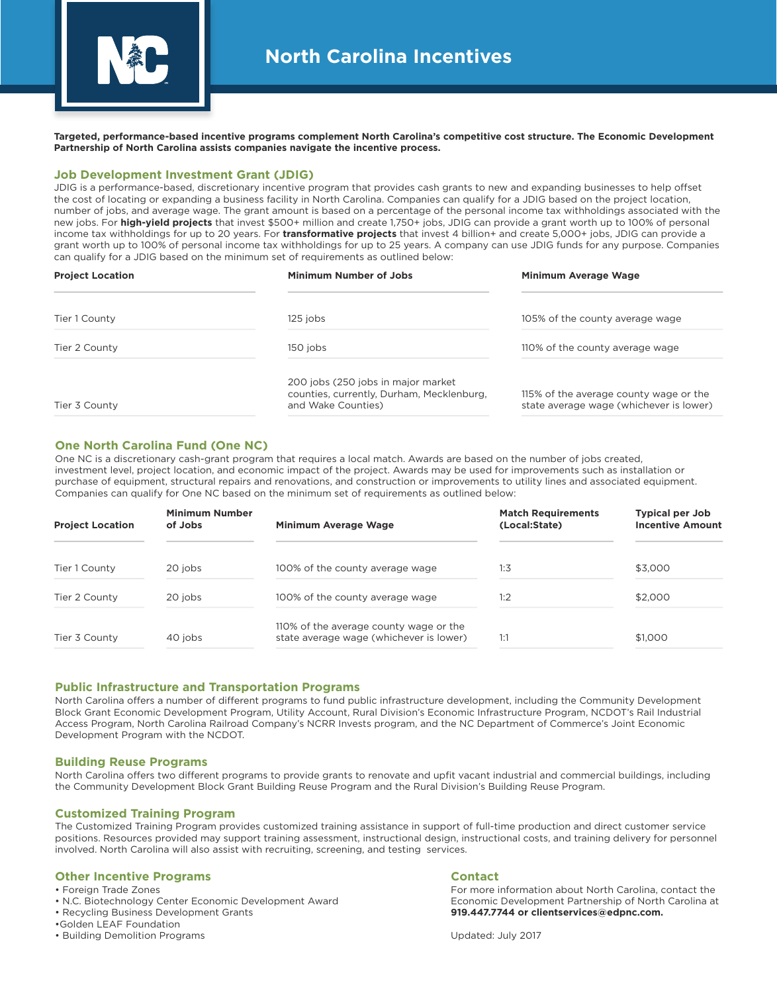

**Targeted, performance-based incentive programs complement North Carolina's competitive cost structure. The Economic Development Partnership of North Carolina assists companies navigate the incentive process.**

## **Job Development Investment Grant (JDIG)**

JDIG is a performance-based, discretionary incentive program that provides cash grants to new and expanding businesses to help offset the cost of locating or expanding a business facility in North Carolina. Companies can qualify for a JDIG based on the project location, number of jobs, and average wage. The grant amount is based on a percentage of the personal income tax withholdings associated with the new jobs. For **high-yield projects** that invest \$500+ million and create 1,750+ jobs, JDIG can provide a grant worth up to 100% of personal income tax withholdings for up to 20 years. For **transformative projects** that invest 4 billion+ and create 5,000+ jobs, JDIG can provide a grant worth up to 100% of personal income tax withholdings for up to 25 years. A company can use JDIG funds for any purpose. Companies can qualify for a JDIG based on the minimum set of requirements as outlined below:

| <b>Project Location</b> | <b>Minimum Number of Jobs</b>                                                                         | Minimum Average Wage                                                              |
|-------------------------|-------------------------------------------------------------------------------------------------------|-----------------------------------------------------------------------------------|
| Tier 1 County           | 125 jobs                                                                                              | 105% of the county average wage                                                   |
| Tier 2 County           | 150 jobs                                                                                              | 110% of the county average wage                                                   |
| Tier 3 County           | 200 jobs (250 jobs in major market<br>counties, currently, Durham, Mecklenburg,<br>and Wake Counties) | 115% of the average county wage or the<br>state average wage (whichever is lower) |

## **One North Carolina Fund (One NC)**

One NC is a discretionary cash-grant program that requires a local match. Awards are based on the number of jobs created, investment level, project location, and economic impact of the project. Awards may be used for improvements such as installation or purchase of equipment, structural repairs and renovations, and construction or improvements to utility lines and associated equipment. Companies can qualify for One NC based on the minimum set of requirements as outlined below:

| <b>Project Location</b> | <b>Minimum Number</b><br>of Jobs | Minimum Average Wage                                                              | <b>Match Requirements</b><br>(Local:State) | <b>Typical per Job</b><br><b>Incentive Amount</b> |
|-------------------------|----------------------------------|-----------------------------------------------------------------------------------|--------------------------------------------|---------------------------------------------------|
| Tier 1 County           | 20 jobs                          | 100% of the county average wage                                                   | 1:3                                        | \$3,000                                           |
| Tier 2 County           | 20 jobs                          | 100% of the county average wage                                                   | 1:2                                        | \$2,000                                           |
| Tier 3 County           | 40 jobs                          | 110% of the average county wage or the<br>state average wage (whichever is lower) | 1:1                                        | \$1,000                                           |

### **Public Infrastructure and Transportation Programs**

North Carolina offers a number of different programs to fund public infrastructure development, including the Community Development Block Grant Economic Development Program, Utility Account, Rural Division's Economic Infrastructure Program, NCDOT's Rail Industrial Access Program, North Carolina Railroad Company's NCRR Invests program, and the NC Department of Commerce's Joint Economic Development Program with the NCDOT.

### **Building Reuse Programs**

North Carolina offers two different programs to provide grants to renovate and upfit vacant industrial and commercial buildings, including the Community Development Block Grant Building Reuse Program and the Rural Division's Building Reuse Program.

### **Customized Training Program**

The Customized Training Program provides customized training assistance in support of full-time production and direct customer service positions. Resources provided may support training assessment, instructional design, instructional costs, and training delivery for personnel involved. North Carolina will also assist with recruiting, screening, and testing services.

#### **Other Incentive Programs**

• Foreign Trade Zones

- N.C. Biotechnology Center Economic Development Award
- Recycling Business Development Grants

•Golden LEAF Foundation

• Building Demolition Programs

#### **Contact**

For more information about North Carolina, contact the Economic Development Partnership of North Carolina at **919.447.7744 or clientservices@edpnc.com.**

Updated: July 2017